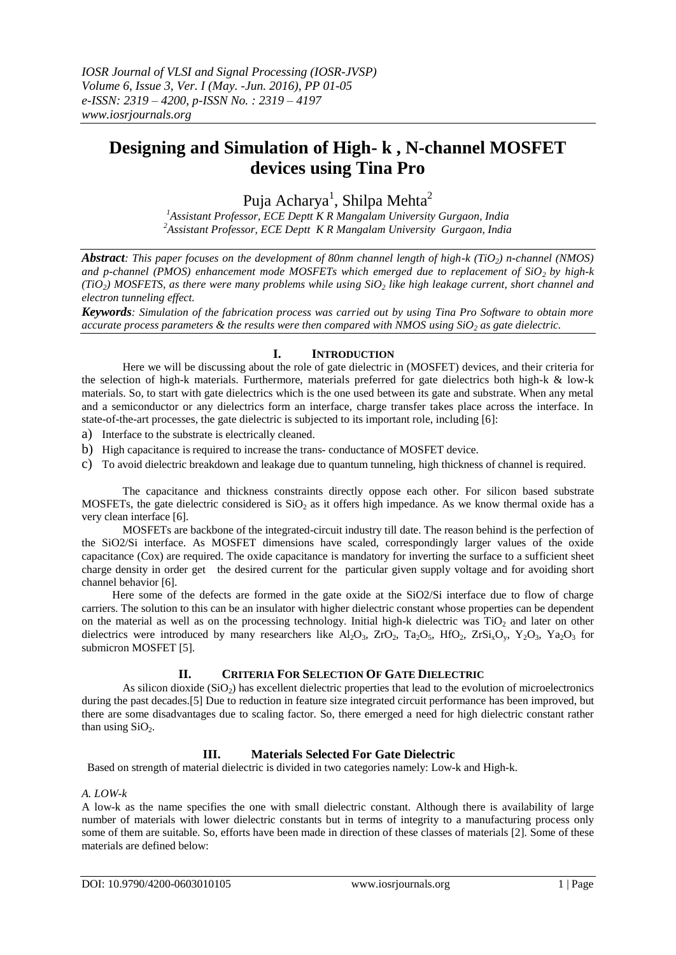# **Designing and Simulation of High- k , N-channel MOSFET devices using Tina Pro**

Puja Acharya<sup>1</sup>, Shilpa Mehta<sup>2</sup>

*<sup>1</sup>Assistant Professor, ECE Deptt K R Mangalam University Gurgaon, India <sup>2</sup>Assistant Professor, ECE Deptt K R Mangalam University Gurgaon, India*

*Abstract: This paper focuses on the development of 80nm channel length of high-k (TiO2) n-channel (NMOS) and p-channel (PMOS) enhancement mode MOSFETs which emerged due to replacement of SiO2 by high-k (TiO2) MOSFETS, as there were many problems while using SiO<sup>2</sup> like high leakage current, short channel and electron tunneling effect.*

*Keywords: Simulation of the fabrication process was carried out by using Tina Pro Software to obtain more accurate process parameters & the results were then compared with NMOS using SiO<sup>2</sup> as gate dielectric.* 

# **I. INTRODUCTION**

Here we will be discussing about the role of gate dielectric in (MOSFET) devices, and their criteria for the selection of high-k materials. Furthermore, materials preferred for gate dielectrics both high-k & low-k materials. So, to start with gate dielectrics which is the one used between its gate and substrate. When any metal and a semiconductor or any dielectrics form an interface, charge transfer takes place across the interface. In state-of-the-art processes, the gate dielectric is subjected to its important role, including [6]:

- a) Interface to the substrate is electrically cleaned.
- b) High capacitance is required to increase the trans- conductance of MOSFET device.
- c) To avoid dielectric breakdown and leakage due to quantum tunneling, high thickness of channel is required.

The capacitance and thickness constraints directly oppose each other. For silicon based substrate MOSFETs, the gate dielectric considered is  $SiO<sub>2</sub>$  as it offers high impedance. As we know [thermal](http://en.wikipedia.org/wiki/Thermal_oxidation) oxide has a very clean interface [6].

MOSFETs are backbone of the integrated-circuit industry till date. The reason behind is the perfection of the SiO2/Si interface. As MOSFET dimensions have scaled, correspondingly larger values of the oxide capacitance (Cox) are required. The oxide capacitance is mandatory for inverting the surface to a sufficient sheet charge density in order get the desired current for the particular given supply voltage and for avoiding short channel behavior [6].

Here some of the defects are formed in the gate oxide at the SiO2/Si interface due to flow of charge carriers. The solution to this can be an insulator with higher dielectric constant whose properties can be dependent on the material as well as on the processing technology. Initial high-k dielectric was  $TiO<sub>2</sub>$  and later on other dielectrics were introduced by many researchers like  $Al_2O_3$ ,  $ZrO_2$ ,  $Ta_2O_5$ ,  $HfO_2$ ,  $ZrSi_xO_y$ ,  $Y_2O_3$ ,  $Ya_2O_3$  for submicron MOSFET [5].

# **II. CRITERIA FOR SELECTION OF GATE DIELECTRIC**

As silicon dioxide  $(SiO<sub>2</sub>)$  has excellent dielectric properties that lead to the evolution of microelectronics during the past decades.[5] Due to reduction in feature size integrated circuit performance has been improved, but there are some disadvantages due to scaling factor. So, there emerged a need for high dielectric constant rather than using  $SiO<sub>2</sub>$ .

# **III. Materials Selected For Gate Dielectric**

Based on strength of material dielectric is divided in two categories namely: Low-k and High-k.

## *A. LOW-k*

A low-k as the name specifies the one with small dielectric constant. Although there is availability of large number of materials with lower dielectric constants but in terms of integrity to a manufacturing process only some of them are suitable. So, efforts have been made in direction of these classes of materials [2]. Some of these materials are defined below: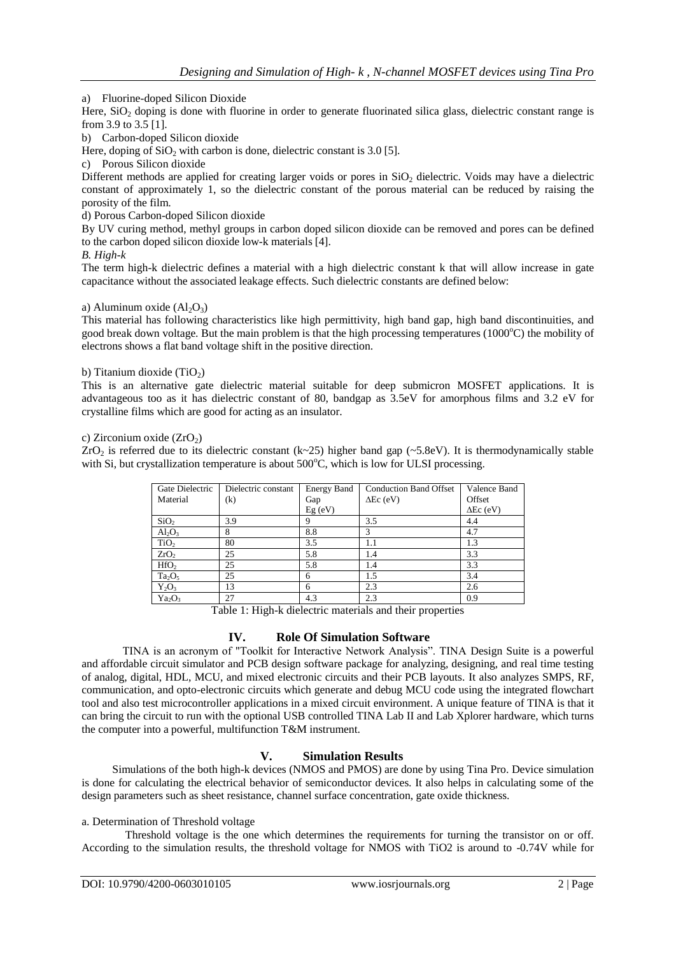a) Fluorine-doped Silicon Dioxide

Here, SiO<sub>2</sub> doping is done with fluorine in order to generate fluorinated silica glass, dielectric constant range is from 3.9 to 3.5 [1].

b) Carbon-doped Silicon dioxide

Here, doping of  $SiO<sub>2</sub>$  with carbon is done, dielectric constant is 3.0 [5].

c) Porous Silicon dioxide

Different methods are applied for creating larger voids or pores in  $SiO<sub>2</sub>$  dielectric. Voids may have a dielectric constant of approximately 1, so the dielectric constant of the porous material can be reduced by raising the porosity of the film.

d) Porous Carbon-doped Silicon dioxide

By UV curing method, methyl groups in carbon doped silicon dioxide can be removed and pores can be defined to the carbon doped silicon dioxide low-k materials [4].

*B. High-k*

The term high-k dielectric defines a material with a high [dielectric constant](http://en.wikipedia.org/wiki/Dielectric_constant) k that will allow increase in gate capacitance without the associated leakage effects. Such dielectric constants are defined below:

#### a) Aluminum oxide  $(Al_2O_3)$

This material has following characteristics like high permittivity, high band gap, high band discontinuities, and good break down voltage. But the main problem is that the high processing temperatures ( $1000^{\circ}$ C) the mobility of electrons shows a flat band voltage shift in the positive direction.

#### b) Titanium dioxide  $(TiO<sub>2</sub>)$

This is an alternative gate dielectric material suitable for deep submicron MOSFET applications. It is advantageous too as it has dielectric constant of 80, bandgap as 3.5eV for amorphous films and 3.2 eV for crystalline films which are good for acting as an insulator.

#### c) Zirconium oxide  $(ZrO<sub>2</sub>)$

 $ZrO<sub>2</sub>$  is referred due to its dielectric constant (k~25) higher band gap (~5.8eV). It is thermodynamically stable with Si, but crystallization temperature is about  $500^{\circ}$ C, which is low for ULSI processing.

| Gate Dielectric  | Dielectric constant | <b>Energy Band</b> | <b>Conduction Band Offset</b> | Valence Band     |
|------------------|---------------------|--------------------|-------------------------------|------------------|
| Material         | (k)                 | Gap                | $\Delta$ Ec (eV)              | Offset           |
|                  |                     | $Eg$ (eV)          |                               | $\Delta$ Ec (eV) |
| SiO <sub>2</sub> | 3.9                 | 9                  | 3.5                           | 4.4              |
| $Al_2O_3$        | 8                   | 8.8                |                               | 4.7              |
| TiO <sub>2</sub> | 80                  | 3.5                | 1.1                           | 1.3              |
| ZrO <sub>2</sub> | 25                  | 5.8                | 1.4                           | 3.3              |
| HfO <sub>2</sub> | 25                  | 5.8                | 1.4                           | 3.3              |
| $Ta_2O_5$        | 25                  | 6                  | 1.5                           | 3.4              |
| $Y_2O_3$         | 13                  | 6                  | 2.3                           | 2.6              |
| $Ya_2O_3$        | 27                  | 4.3                | 2.3                           | 0.9              |

Table 1: High-k dielectric materials and their properties

## **IV. Role Of Simulation Software**

TINA is an acronym of "Toolkit for Interactive Network Analysis". TINA Design Suite is a powerful and affordable circuit simulator and PCB design software package for analyzing, designing, and real time testing of analog, digital, HDL, MCU, and mixed electronic circuits and their PCB layouts. It also analyzes SMPS, RF, communication, and opto-electronic circuits which generate and debug MCU code using the integrated flowchart tool and also test microcontroller applications in a mixed circuit environment. A unique feature of TINA is that it can bring the circuit to run with the optional USB controlled TINA Lab II and Lab Xplorer hardware, which turns the computer into a powerful, multifunction T&M instrument.

# **V. Simulation Results**

Simulations of the both high-k devices (NMOS and PMOS) are done by using Tina Pro. Device simulation is done for calculating the electrical behavior of semiconductor devices. It also helps in calculating some of the design parameters such as sheet resistance, channel surface concentration, gate oxide thickness.

## a. Determination of Threshold voltage

Threshold voltage is the one which determines the requirements for turning the transistor on or off. According to the simulation results, the threshold voltage for NMOS with TiO2 is around to -0.74V while for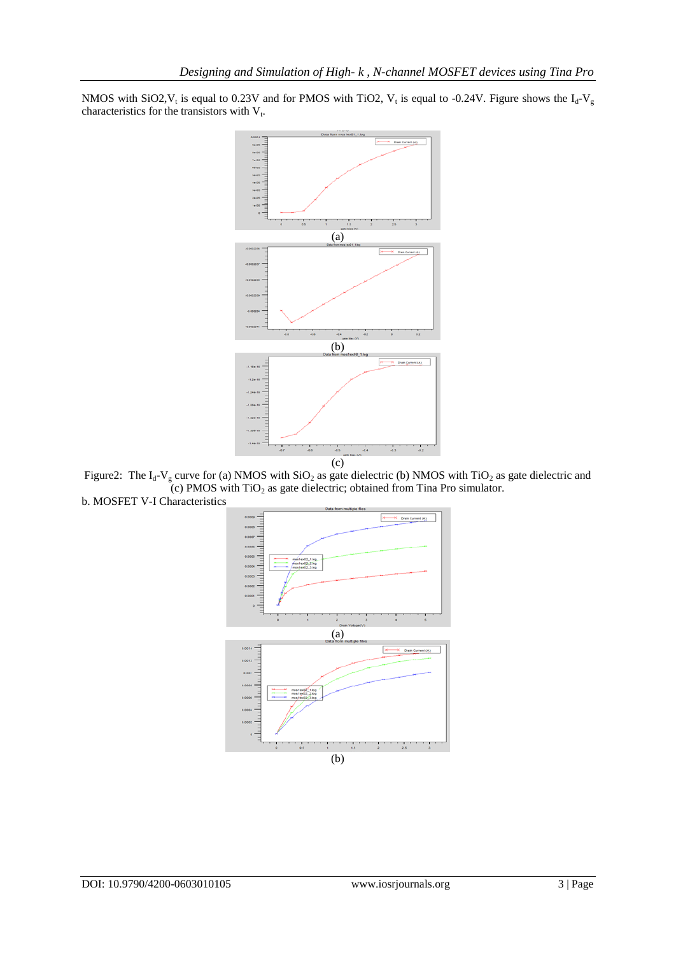NMOS with SiO2,  $V_t$  is equal to 0.23V and for PMOS with TiO2,  $V_t$  is equal to -0.24V. Figure shows the  $I_d$ - $V_g$ characteristics for the transistors with  $V_t$ .



Figure2: The  $I_d-V_g$  curve for (a) NMOS with SiO<sub>2</sub> as gate dielectric (b) NMOS with TiO<sub>2</sub> as gate dielectric and (c) PMOS with  $TiO<sub>2</sub>$  as gate dielectric; obtained from Tina Pro simulator. b. MOSFET V-I Characteristics

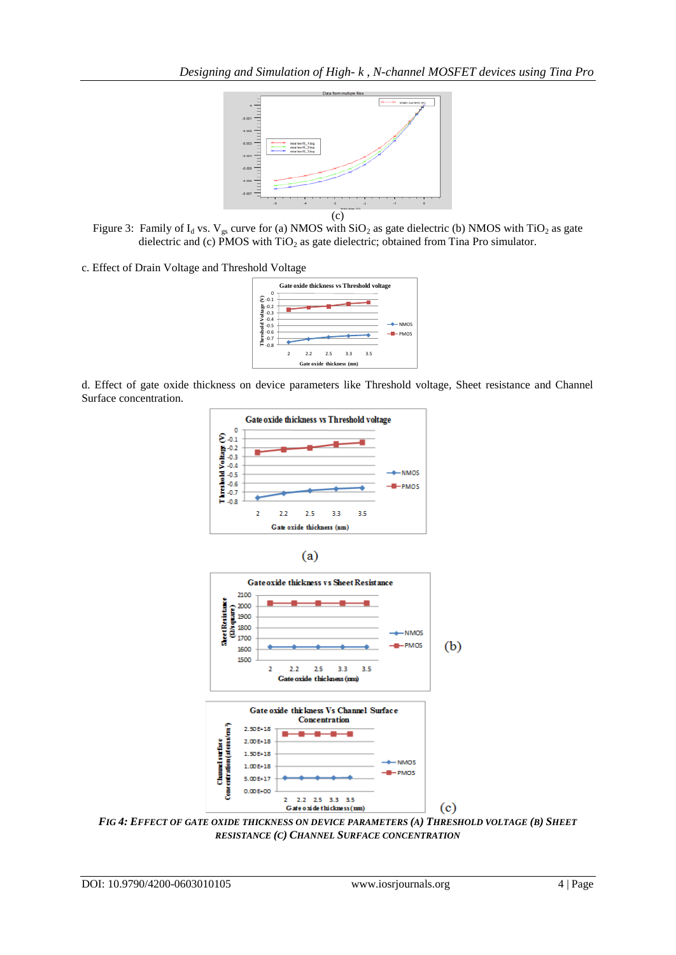

Figure 3: Family of  $I_d$  vs.  $V_{gs}$  curve for (a) NMOS with SiO<sub>2</sub> as gate dielectric (b) NMOS with TiO<sub>2</sub> as gate dielectric and (c)  $\overline{PMOS}$  with  $TiO<sub>2</sub>$  as gate dielectric; obtained from Tina Pro simulator.

c. Effect of Drain Voltage and Threshold Voltage



d. Effect of gate oxide thickness on device parameters like Threshold voltage, Sheet resistance and Channel Surface concentration.







*FIG 4: EFFECT OF GATE OXIDE THICKNESS ON DEVICE PARAMETERS (A) THRESHOLD VOLTAGE (B) SHEET RESISTANCE (C) CHANNEL SURFACE CONCENTRATION*